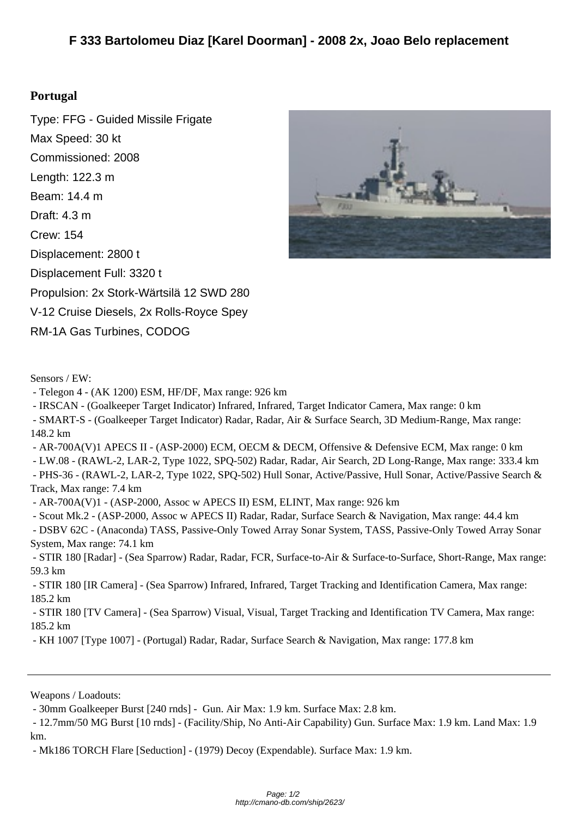## **Portug[al](http://cmano-db.com/ship/2623/)**

Type: FFG - Guided Missile Frigate Max Speed: 30 kt Commissioned: 2008 Length: 122.3 m Beam: 14.4 m Draft: 4.3 m Crew: 154 Displacement: 2800 t Displacement Full: 3320 t Propulsion: 2x Stork-Wärtsilä 12 SWD 280 V-12 Cruise Diesels, 2x Rolls-Royce Spey RM-1A Gas Turbines, CODOG



Sensors / EW:

- Telegon 4 - (AK 1200) ESM, HF/DF, Max range: 926 km

- IRSCAN - (Goalkeeper Target Indicator) Infrared, Infrared, Target Indicator Camera, Max range: 0 km

 - SMART-S - (Goalkeeper Target Indicator) Radar, Radar, Air & Surface Search, 3D Medium-Range, Max range: 148.2 km

- AR-700A(V)1 APECS II - (ASP-2000) ECM, OECM & DECM, Offensive & Defensive ECM, Max range: 0 km

- LW.08 - (RAWL-2, LAR-2, Type 1022, SPQ-502) Radar, Radar, Air Search, 2D Long-Range, Max range: 333.4 km

 - PHS-36 - (RAWL-2, LAR-2, Type 1022, SPQ-502) Hull Sonar, Active/Passive, Hull Sonar, Active/Passive Search & Track, Max range: 7.4 km

- AR-700A(V)1 - (ASP-2000, Assoc w APECS II) ESM, ELINT, Max range: 926 km

- Scout Mk.2 - (ASP-2000, Assoc w APECS II) Radar, Radar, Surface Search & Navigation, Max range: 44.4 km

 - DSBV 62C - (Anaconda) TASS, Passive-Only Towed Array Sonar System, TASS, Passive-Only Towed Array Sonar System, Max range: 74.1 km

 - STIR 180 [Radar] - (Sea Sparrow) Radar, Radar, FCR, Surface-to-Air & Surface-to-Surface, Short-Range, Max range: 59.3 km

 - STIR 180 [IR Camera] - (Sea Sparrow) Infrared, Infrared, Target Tracking and Identification Camera, Max range: 185.2 km

 - STIR 180 [TV Camera] - (Sea Sparrow) Visual, Visual, Target Tracking and Identification TV Camera, Max range: 185.2 km

- KH 1007 [Type 1007] - (Portugal) Radar, Radar, Surface Search & Navigation, Max range: 177.8 km

Weapons / Loadouts:

 - 12.7mm/50 MG Burst [10 rnds] - (Facility/Ship, No Anti-Air Capability) Gun. Surface Max: 1.9 km. Land Max: 1.9 km.

- Mk186 TORCH Flare [Seduction] - (1979) Decoy (Expendable). Surface Max: 1.9 km.

 <sup>- 30</sup>mm Goalkeeper Burst [240 rnds] - Gun. Air Max: 1.9 km. Surface Max: 2.8 km.